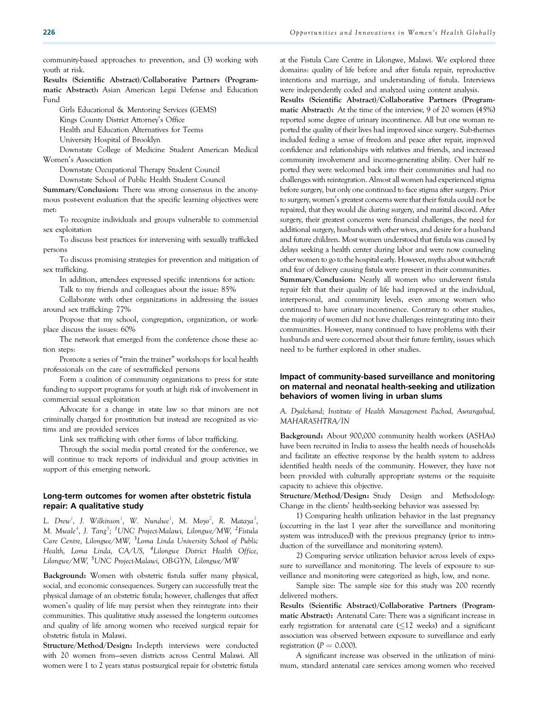community-based approaches to prevention, and (3) working with youth at risk.

Results (Scientific Abstract)/Collaborative Partners (Programmatic Abstract): Asian American Legai Defense and Education Fund

Girls Educational & Mentoring Services (GEMS)

Kings County District Attorney's Office

Health and Education Alternatives for Teems

University Hospital of Brooklyn

Downstate College of Medicine Student American Medical Women's Association

Downstate Occupational Therapy Student Council

Downstate School of Public Health Student Council

Summary/Conclusion: There was strong consensus in the anonymous post-event evaluation that the specific learning objectives were met:

To recognize individuals and groups vulnerable to commercial sex exploitation

To discuss best practices for intervening with sexually trafficked persons

To discuss promising strategies for prevention and mitigation of sex trafficking.

In addition, attendees expressed specific intentions for action: Talk to my friends and colleagues about the issue: 85%

Collaborate with other organizations in addressing the issues around sex trafficking: 77%

Propose that my school, congregation, organization, or workplace discuss the issues: 60%

The network that emerged from the conference chose these action steps:

Promote a series of "train the trainer" workshops for local health professionals on the care of sex-trafficked persons

Form a coalition of community organizations to press for state funding to support programs for youth at high risk of involvement in commercial sexual exploitation

Advocate for a change in state law so that minors are not criminally charged for prostitution but instead are recognized as victims and are provided services

Link sex trafficking with other forms of labor trafficking.

Through the social media portal created for the conference, we will continue to track reports of individual and group activities in support of this emerging network.

#### Long-term outcomes for women after obstetric fistula repair: A qualitative study

L. Drew<sup>1</sup>, J. Wilkinson<sup>1</sup>, W. Nundwe<sup>1</sup>, M. Moyo<sup>2</sup>, R. Mataya<sup>3</sup>, M. Mwale<sup>4</sup>, J. Tang<sup>5</sup>; <sup>1</sup>UNC Project-Malawi, Lilongwe/MW, <sup>2</sup>Fistula Care Centre, Lilongwe/MW, <sup>3</sup>Loma Linda University School of Public Health, Loma Linda, CA/US, <sup>4</sup>Lilongwe District Health Office, Lilongwe/MW, <sup>5</sup>UNC Project-Malawi, OB-GYN, Lilongwe/MW

Background: Women with obstetric fistula suffer many physical, social, and economic consequences. Surgery can successfully treat the physical damage of an obstetric fistula; however, challenges that affect women's quality of life may persist when they reintegrate into their communities. This qualitative study assessed the long-term outcomes and quality of life among women who received surgical repair for obstetric fistula in Malawi.

Structure/Method/Design: In-depth interviews were conducted with 20 women from—seven districts across Central Malawi. All women were 1 to 2 years status postsurgical repair for obstetric fistula at the Fistula Care Centre in Lilongwe, Malawi. We explored three domains: quality of life before and after fistula repair, reproductive intentions and marriage, and understanding of fistula. Interviews were independently coded and analyzed using content analysis.

Results (Scientific Abstract)/Collaborative Partners (Programmatic Abstract): At the time of the interview, 9 of 20 women (45%) reported some degree of urinary incontinence. All but one woman reported the quality of their lives had improved since surgery. Sub-themes included feeling a sense of freedom and peace after repair, improved confidence and relationships with relatives and friends, and increased community involvement and income-generating ability. Over half reported they were welcomed back into their communities and had no challenges with reintegration. Almost all women had experienced stigma before surgery, but only one continued to face stigma after surgery. Prior to surgery, women's greatest concerns were that their fistula could not be repaired, that they would die during surgery, and marital discord. After surgery, their greatest concerns were financial challenges, the need for additional surgery, husbands with other wives, and desire for a husband and future children. Most women understood that fistula was caused by delays seeking a health center during labor and were now counseling other women to go to the hospital early. However, myths about witchcraft and fear of delivery causing fistula were present in their communities.

Summary/Conclusion: Nearly all women who underwent fistula repair felt that their quality of life had improved at the individual, interpersonal, and community levels, even among women who continued to have urinary incontinence. Contrary to other studies, the majority of women did not have challenges reintegrating into their communities. However, many continued to have problems with their husbands and were concerned about their future fertility, issues which need to be further explored in other studies.

# Impact of community-based surveillance and monitoring on maternal and neonatal health-seeking and utilization behaviors of women living in urban slums

A. Dyalchand; Institute of Health Management Pachod, Aurangabad, MAHARASHTRA/IN

Background: About 900,000 community health workers (ASHAs) have been recruited in India to assess the health needs of households and facilitate an effective response by the health system to address identified health needs of the community. However, they have not been provided with culturally appropriate systems or the requisite capacity to achieve this objective.

Structure/Method/Design: Study Design and Methodology: Change in the clients' health-seeking behavior was assessed by:

1) Comparing health utilization behavior in the last pregnancy (occurring in the last 1 year after the surveillance and monitoring system was introduced) with the previous pregnancy (prior to introduction of the surveillance and monitoring system).

2) Comparing service utilization behavior across levels of exposure to surveillance and monitoring. The levels of exposure to surveillance and monitoring were categorized as high, low, and none.

Sample size: The sample size for this study was 200 recently delivered mothers.

Results (Scientific Abstract)/Collaborative Partners (Programmatic Abstract): Antenatal Care: There was a significant increase in early registration for antenatal care  $(\leq 12$  weeks) and a significant association was observed between exposure to surveillance and early registration ( $P = 0.000$ ).

A significant increase was observed in the utilization of minimum, standard antenatal care services among women who received